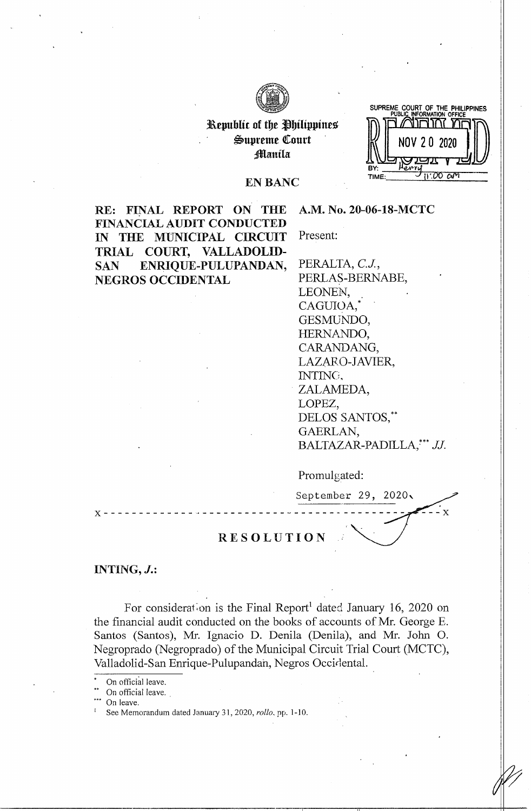

# Republic of the Philippines  $\mathfrak{S}$ upreme Court

**SUPREME COURT OF THE PHILIPPINES PUBLIC INFORMATION OFFICE**  of the Philippines<br>preme Court<br>Manila Deposition of Deposition TIME

 $- x$ 

### EN BANC

**RE: FINAL REPORT ON THE FINANCIAL AUDIT CONDUCTED IN THE MUNICIPAL CIRCUIT TRIAL COURT, VALLADOLID-SAN ENRIQUE-PULUPANDAN, NEGROS OCCIDENTAL** 

**A.M. No. 20-06-18-MCTC** 

Present:

PERALTA, C.J., PERLAS-BERNABE, LEONEN, CAGUIOA,\* GESMUNDO, HERNANDO, CARANDANG, LAZARO-JAVIER, INTINCi, ZALAMEDA, LOPEZ, DELOS SANTOS,\*\* GAERLAN, BALTAZAR-PADILLA,\*\*\* JJ.

Promulgated:

September 29, 2020,

**RESOLUTION** 

x------------- ··-------------------- ---------

**INTING, J.:** 

For consideration is the Final Report<sup>1</sup> dated January 16, 2020 on the financial audit conducted on the books of accounts of Mr. George E. Santos (Santos), Mr. Ignacio D. Denila (Denila), and Mr. John 0. Negroprado (Negroprado) of the Municipal Circuit Trial Court (MCTC), Valladolid-San Enrique-Pulupandah, Negros Occidental.

On official leave.

On leave.

On official leave.

<sup>1</sup> See Memorandum dated January 31, 2020, *rollo,* pp. 1-10.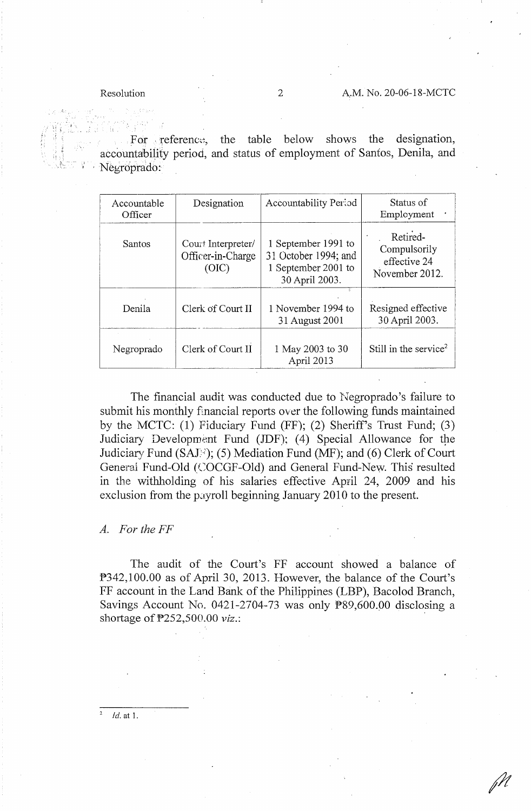For reference, the table below shows the designation, accountability period, and status of employment of Santos, Denila, and Negroprado:

| Accountable<br>Officer | Designation                                      | Accountability Period                                                                | Status of<br>Employment                                    |
|------------------------|--------------------------------------------------|--------------------------------------------------------------------------------------|------------------------------------------------------------|
| <b>Santos</b>          | Court Interpreter/<br>Officer-in-Charge<br>(OIC) | 1 September 1991 to<br>31 October 1994; and<br>1 September 2001 to<br>30 April 2003. | Retired-<br>Compulsorily<br>effective 24<br>November 2012. |
| Denila                 | Clerk of Court II                                | 1 November 1994 to<br>31 August 2001                                                 | Resigned effective<br>30 April 2003.                       |
| Negroprado             | Clerk of Court II                                | 1 May 2003 to 30<br>April 2013                                                       | Still in the service <sup>2</sup>                          |

The financial audit was conducted due to Negroprado's failure to submit his monthly financial reports over the following funds maintained by the MCTC: (1) Fiduciary Fund (FF); (2) Sheriff's Trust Fund; (3) Judiciary Development Fund (JDF); (4) Special Allowance for the Judiciary Fund (SAJ<sup>3</sup>); (5) Mediation Fund (MF); and (6) Clerk of Court General Fund-Old (COCGF-Old) and General Fund-New. This resulted in the withholding of his salaries effective April 24, 2009 and his exclusion from the payroll beginning January 2010 to the present.

### *A. FortheFF*

The audit of the Court's FF account showed a balance of P342,100.00 as of April 30, 2013. However, the balance of the Court's FF account in the Land Bank of the Philippines (LBP), Bacolod Branch, Savings Account No. 0421-2704-73 was only P89,600.00 disclosing a shortage of P252,500.00 *viz.:* ,

*Id.* at 1.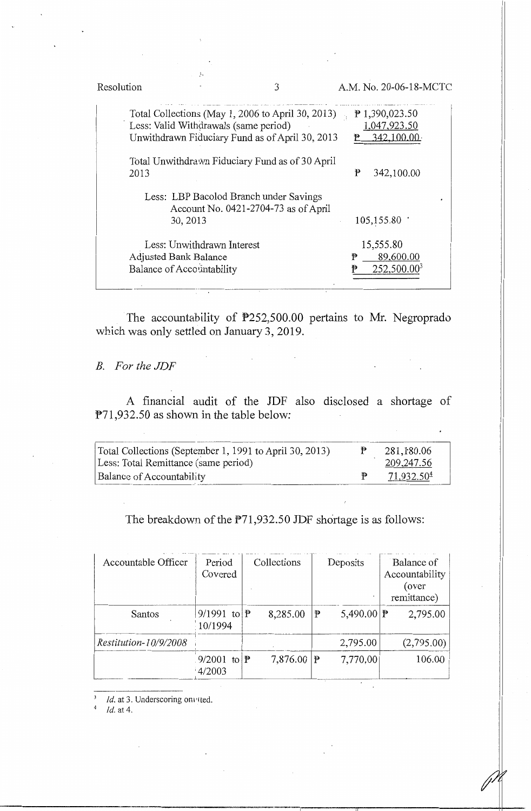| Resolution | 3                                                                                                                                             |   | A.M. No. 20-06-18-MCTC                            |  |
|------------|-----------------------------------------------------------------------------------------------------------------------------------------------|---|---------------------------------------------------|--|
|            | Total Collections (May 1, 2006 to April 30, 2013)<br>Less: Valid Withdrawals (same period)<br>Unwithdrawn Fiduciary Fund as of April 30, 2013 |   | $P$ 1,390,023.50<br>1,047,923.50<br>342,100.00    |  |
| 2013       | Total Unwithdrawn Fiduciary Fund as of 30 April                                                                                               | ₱ | 342,100.00                                        |  |
|            | Less: LBP Bacolod Branch under Savings<br>Account No. 0421-2704-73 as of April<br>30, 2013                                                    |   | 105, 155.80                                       |  |
|            | Less: Unwithdrawn Interest<br>Adjusted Bank Balance<br>Balance of Accountability                                                              | ₱ | 15,555.80<br>89,600.00<br>252,500.00 <sup>3</sup> |  |

The accountability of P252,500.00 pertains to Mr. Negroprado which was only settled on January 3, 2019.

*B. For the JDF* 

A financial audit of the JDF also disclosed a shortage of P71,932.50 as shown in the table below:

| Total Collections (September 1, 1991 to April 30, 2013)<br>Less: Total Remittance (same period) | 281,180.06<br>209,247.56 |
|-------------------------------------------------------------------------------------------------|--------------------------|
| <b>Balance of Accountability</b>                                                                | 71,932.504               |

The breakdown of the P71,932.50 JDF shortage is as follows:

| Accountable Officer   | Period<br>Covered                 | Collections |    | Deposits                         | Balance of<br>Accountability<br>(over<br>remittance) |
|-----------------------|-----------------------------------|-------------|----|----------------------------------|------------------------------------------------------|
| Santos                | 9/1991 to $\mathbb{P}$<br>10/1994 | 8,285.00    | ₹  | 5,490.00   $\blacktriangleright$ | 2,795.00                                             |
| Restitution-10/9/2008 |                                   |             |    | 2,795.00                         | (2,795.00)                                           |
|                       | 9/2001 to $\mathbb{P}$<br>4/2003  | 7,876.00    | ∣₽ | 7,770.00                         | 106.00                                               |

I II

*1d.* at 3. Underscoring on • tted. *Id.* at 4.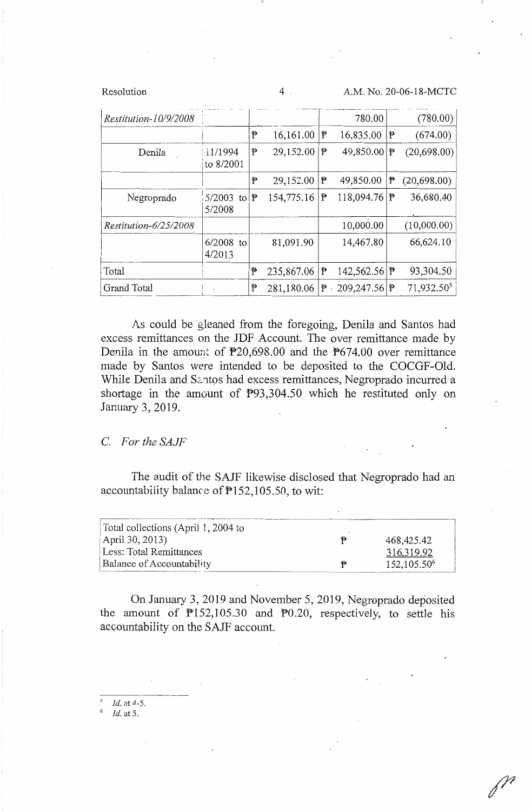Resolution 4 A.M. No. 20-06-18-MCTC

| Restitution-10/9/2008 |                       |   |            |   | 780.00         |    | (780.00)               |
|-----------------------|-----------------------|---|------------|---|----------------|----|------------------------|
|                       |                       | ₱ | 16,161.00  | P | 16,835.00      | ∣₱ | (674.00)               |
| Denila                | 11/1994<br>to 8/2001  | P | 29,152.00  | P | 49,850.00   P  |    | (20,698.00)            |
|                       |                       | P | 29,152.00  | P | 49,850.00      | P  | (20, 698.00)           |
| Negroprado            | $5/2003$ to<br>5/2008 | ₱ | 154,775.16 | P | 118,094.76  尹  |    | 36,680.40              |
| Restitution-6/25/2008 |                       |   |            |   | 10,000.00      |    | (10,000.00)            |
|                       | $6/2008$ to<br>4/2013 |   | 81,091.90  |   | 14,467.80      |    | 66,624.10              |
| Total                 |                       | P | 235,867.06 | ŧ | 142,562.56   尹 |    | 93,304.50              |
| <b>Grand Total</b>    |                       | ₱ | 281,180.06 | ₱ | 209,247.56 ₱   |    | 71,932.50 <sup>5</sup> |

As could be gleaned from the foregoing, Denila and Santos had excess remittances on the JDF Account. The over remittance made by Denila in the amount of P20,698.00 and the P674.00 over remittance made by Santos were intended to be deposited to the COCGF-Old. While Denila and Santos had excess remittances, Negroprado incurred a shortage in the amount of P93,304.50 which he restituted only on January 3, 2019.

### *C. For the SAJF*

The audit of the SAJF likewise disclosed that Negroprado had an accountabiiity balance of P152,105.50, to wit:

| Total collections (April 1, 2004 to |                         |
|-------------------------------------|-------------------------|
| April 30, 2013)                     | 468,425.42              |
| Less: Total Remittances             | 316,319.92              |
| <b>Balance of Accountability</b>    | 152,105.50 <sup>6</sup> |

On January 3, 2019 and November 5, 2019, Negroprado deposited the amount of  $P152,105.30$  and  $P0.20$ , respectively, to settle his accountability on the SAJF account.

*Id.* at 4-5.

<sup>6</sup>*Id.* at 5.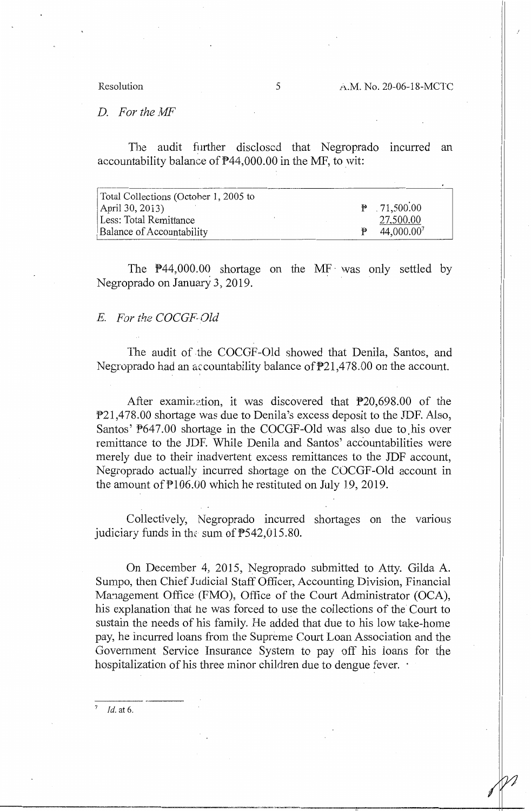*D. FortheMF* 

The audit further disclosed that Negroprado incurred an accountability balance of P44,000.00 in the MF, to wit:

| Total Collections (October 1, 2005 to |                          |
|---------------------------------------|--------------------------|
| April 30, 2013)                       | $\mathbb{P}$ . 71,500.00 |
| Less: Total Remittance                | 27,500.00                |
| <b>Balance of Accountability</b>      | 44,000.00                |

The  $\overline{P}44,000.00$  shortage on the MF was only settled by Negroprado on January 3, 2019.

## E. *For the COCGF-(Jld*

The audit of the COCGF-Old showed that Denila, Santos, and Negroprado had an arcountability balance of P21,478.00 on the account.

After examination, it was discovered that  $P20,698.00$  of the P21,478.00 shortage was due to Denila's excess deposit to the JDF. Also, Santos' P647.00 shortage in the COCGF-Old was also due to.his over remittance to the JDF. While Denila and Santos' accountabilities were merely due to their inadvertent excess remittances to the JDF account, Negroprado actually incurred shortage on the COCGF-Old account in the amount of P106.00 which he restituted on July 19, 2019.

Collectively, Negroprado incurred shortages on the vanous judiciary funds in the sum of  $P542,015.80$ .

On December 4, 2015, Negroprado submitted to Atty. Gilda A. Sumpo, then Chief Judicial Staff Officer, Accounting Division, Financial Management Office (FMO), Office of the Court Administrator (OCA), his explanation that he was forced to use the collections of the Court to sustain the needs of his family. He added that due to his low take-home pay, he incurred loans from the Supreme Court Loan Association and the Government Service Insurance System to pay off his loans for the hospitalization of his three minor children due to dengue fever.  $\cdot$ 

 $Id.$  at 6.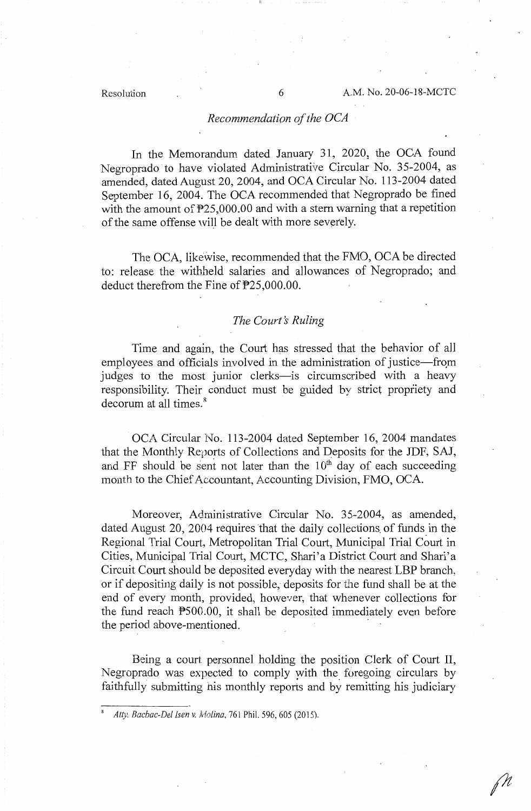### *Recommendation of the OCA*

In the Memorandum dated January 31, 2020, the OCA found Negroprado to have violated Administrative Circular No. 35-2004, as amended, dated August 20, 2004, and OCA Circular No. 113-2004 dated September 16, 2004. The OCA recommended that Negroprado be fined with the amount of  $P25,000.00$  and with a stern warning that a repetition of the same offense will be dealt with more severely.

The OCA, likewise, recommended that the FMO, OCA be directed to: release the withheld salaries and allowances of Negroprado; and deduct therefrom the Fine of P25,000.00.

### *The Court's Ruling*

Time and again, the Court has stressed that the behavior of all employees and officials involved in the administration of justice-from judges to the most junior clerks-is circumscribed with a heavy responsibility. Their conduct must be guided by strict propriety and decorum at all times.<sup>8</sup>

OCA Circular No. 113-2004 dated September 16, 2004 mandates that the Monthly Reports of Collections and Deposits for the JDF, SAJ, and FF should be sent not later than the  $10<sup>th</sup>$  day of each succeeding month to the Chief Accountant, Accounting Division, FMO, OCA.

Moreover, Administrative Circular No. 35-2004, as amended, dated August 20, 2004 requires that the daily collections of funds in the Regional Trial Court, Metropolitan Trial Court, Municipal Trial Court in Cities, Municipal Trial Court, MCTC, Shari'a District Court and Shari'a Circuit Court should be deposited everyday with the nearest LBP branch, or if depositing daily is not possible, deposits for the fund shall be at the end of every month, provided, however, that whenever collections for the fund reach  $P500.00$ , it shall be deposited immediately even before the period above-mentioned.

Being a court personnel holding the position Clerk of Court II, Negroprado was expected to comply with the foregoing circulars by faithfully submitting his monthly reports and by remitting his judiciary

<sup>8</sup> *Atty. Bacbac-Del !sen v. Molina,* 761 Phil. 596,605 (2015).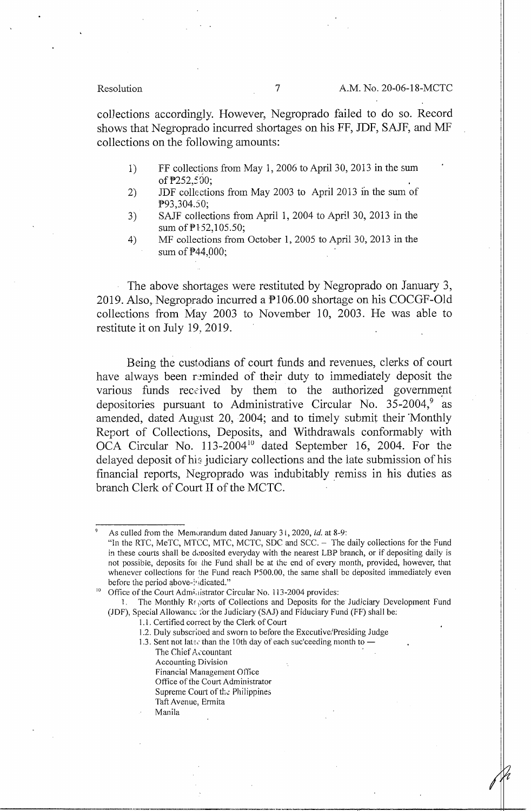Resolution 7 A.M. No. 20-06-18-MCTC

colJections accordingly. However, Negroprado failed to do so. Record shows that Negtoprado incurred shortages on his FF, JDF, SAJF, and MF collections on the following amounts:

- 1) FF collections from May 1, 2006 to April 30, 2013 in the sum of P252,500;
- 2) JDF collections from May 2003 to April 2013 in the sum of P93,304.50;
- 3) SAJF collections from April 1, 2004 to April 30, 2013 in the sum of  $P152,105.50$ ;
- 4) MF collections from October I, 2005 to April 30, 2013 in the sum of **P44**,000;

The above shortages were restituted by Negroprado on January 3, 2019. Also, Negroprado incurred a P106.00 shortage on his COCGF-Old collections from May 2003 to November 10, 2003. He was able to restitute it on July 19, 2019.

Being the custodians of court funds and revenues, clerks of court have always been reminded of their duty to immediately deposit the various funds received by them to the authorized government depositories pursuant to Administrative Circular No.  $35-2004$ , as amended, dated August 20, 2004; and to timely submit their Monthly Report of Collections, Deposits, and Withdrawals conformably with OCA Circular No.  $113-2004^{10}$  dated September 16, 2004. For the delayed deposit of his judiciary collections and the late submission of his financial reports, Negroprado was indubitably \_remiss in his duties as branch Clerk of Court II of the MCTC.

<sup>9</sup>As culled from the Memurandum dated January 3 i, 2020, *id.* at 8-9:

- 1.3. Sent not later than the 10th day of each suc'ceeding month to -
	- The Chief A,countant
	- Accounting Division Financial Management Office
	- Office of the Court Administrator
	- Supreme Court of the Philippines
	- Taft Avenue, Ennita
	- Manila

<sup>&</sup>quot;In the RTC, MeTC, MTCC, MTC, MCTC, SDC and SCC. - The daily collections for the Fund in these courts shall be deposited everyday with the nearest LBP branch, or if depositing daily is not possible, deposits for the Fund shall be at the end of every month, provided, however, that whenever collections for the Fund reach P500.00, the same shall be deposited immediately even before the period above-indicated."

Office of the Court Administrator Circular No. 113-2004 provides:

<sup>1.</sup> The Monthly Reports of Collections and Deposits for the Judiciary Development Fund (JDF), Special Allowance: for the Judiciary (SAJ) and Fiduciary Fund (FF) shall be:

<sup>1.1.</sup> Certified correct by the Clerk of Court

<sup>1.2.</sup> Duly subscribed and sworn to before the Executive/Presiding Judge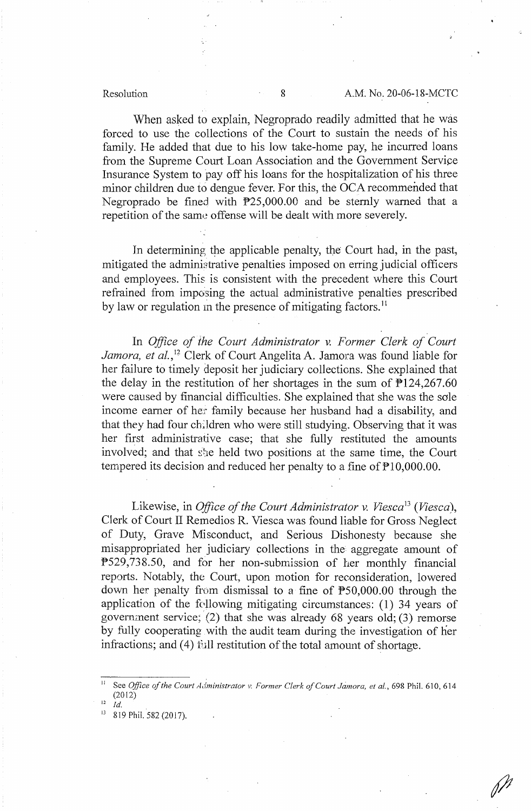When asked to explain, Negroprado readily admitted that he was forced to use the collections of the Court to sustain the needs of his family. He added that due to his low take-home pay, he incurred loans from the Supreme Court Loan Association and the Government Service Insurance System to pay off his loans for the hospitalization of his three minor children due to dengue fever. For this, the OCA recommended that Negroprado be fined with P25,000.00 and be sternly warned that a repetition of the same offense will be dealt with more severely.

In determining the applicable penalty, the Court had, in the past, mitigated the administrative penalties imposed on erring judicial officers and employees. This is consistent with the precedent where this Court refrained from imposing the actual administrative penalties prescribed by law or regulation in the presence of mitigating factors.<sup>11</sup>

In *Office of the Court Administrator v. Former Clerk of Court* Jamora, et al.,<sup>12</sup> Clerk of Court Angelita A. Jamora was found liable for her failure to timely deposit her judiciary collections. She explained that the delay in the restitution of her shortages in the sum of  $P124,267.60$ were caused by financial difficulties. She explained that she was the sole income earner of her family because her husband had a disability, and that they had four children who were still studying. Observing that it was her first administrative case; that she fully restituted the amounts involved; and that she held two positions at the same time, the Court tempered its decision and reduced her penalty to a fine of  $\mathbb{P}10,000.00$ .

Likewise, in *Office of the Court Administrator v. Viesca13 (Viesca),*  Clerk of Court II Remedios R. Viesca was found liable for Gross Neglect of Duty, Grave Misconduct, and Serious Dishonesty because she misappropriated her judiciary collections in the aggregate amount of P529,738.50, and for her non-submission of her monthly financial reports. Notably, the Court, upon motion for reconsideration, lowered down her penalty from dismissal to a fine of P50,000.00 through the application of the following mitigating circumstances:  $(1)$  34 years of governznent service; (2) that she was already 68 years old; (3) remorse by fully cooperating with the audit team during the investigation of her infractions; and  $(4)$  full restitution of the total amount of shortage.

<sup>&</sup>lt;sup>11</sup> See *Office of the Court Administrator v. Former Clerk of Court Jamora, et al., 698 Phil. 610, 614* (2012)

 $Id$ 

<sup>&</sup>lt;sup>13</sup> 819 Phil. 582 (2017).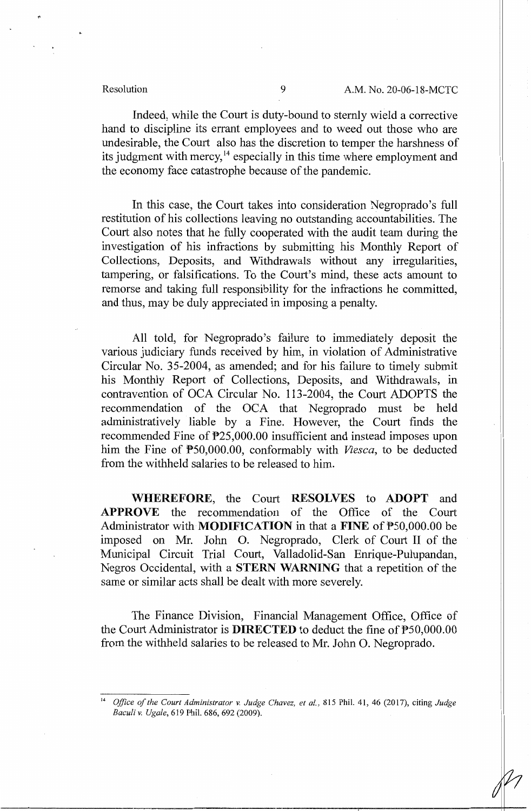Indeed, while the Court is duty-bound to sternly wield a corrective hand to discipline its errant employees and to weed out those who are undesirable, the Court also has the discretion to temper the harshness of its judgment with mercy,<sup>14</sup> especially in this time where employment and the economy face catastrophe because of the pandemic.

In this case, the Court takes into consideration Negroprado's full restitution of his collections leaving no outstanding accountabilities. The Court also notes that he fully cooperated with the audit team during the investigation of his infractions by submitting his Monthly Report of Collections, Deposits, and Withdrawals without any irregularities, tampering, or falsifications. To the Court's mind, these acts amount to remorse and taking full responsibility for the infractions he committed, and thus, may be duly appreciated in imposing a penalty.

All told, for Negroprado's failure to immediately deposit the various judiciary funds received by him, in violation of Administrative Circular No. 35-2004, as amended; and for his failure to timely submit his Monthly Report of Collections, Deposits, and Withdrawals, in contravention of OCA Circular No. 113-2004, the Court ADOPTS the recommendation of the OCA that Negroprado must be held administratively liable by a Fine. However, the Court finds the recommended Fine of P25,000.00 insufficient and instead imposes upon him the Fine of P50,000.00, conformably with *Viesca,* to be deducted from the withheld salaries to be released to him.

**WHEREFORE,** the Court **RESOLVES** to **ADOPT** and **APPROVE** the recommendation of the Office of the Court Administrator with **MODIFICATION** in that a **FINE** of P50,000.00 be imposed on Mr. John 0. Negroprado, Clerk of Court II of the Municipal Circuit Trial Court, Valladolid-San Enrique-Pulupandan, Negros Occidental, with a **STERN WARNING** that a repetition of the same or similar acts shall be dealt with more severely.

The Finance Division, Financial Management Office, Office of the Court Administrator is **DIRECTED** to deduct the fine of P50,000.00 from the withheld salaries to be released to Mr. John 0. Negroprado.

<sup>14</sup>*Office of the Court Administrator v. Judge Chavez, et al.,* 815 Phil. 41, 46 (2017), citing *Judge Baculi v. Ugale,* 619 Phil. 686, 692 (2009).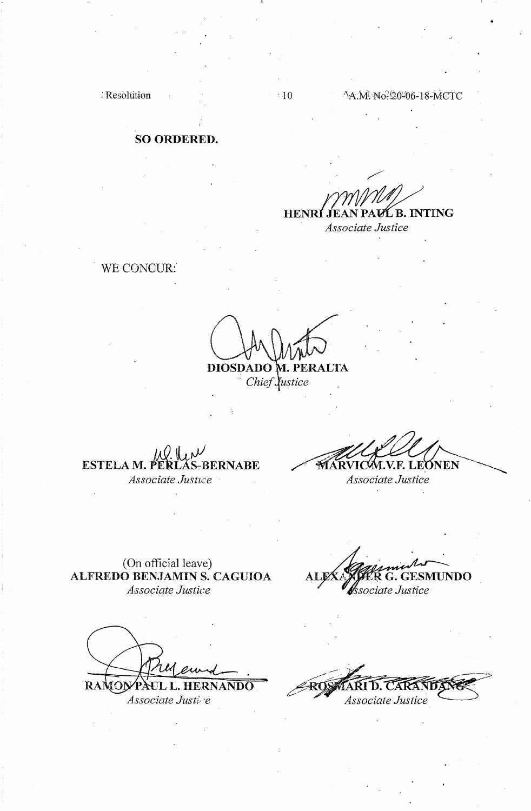Resolution and 10

### A.M. No. 20-06-18-MCTC

•

# **SO ORDERED.**

# **HENRI** I PAVL B. INTING .TF.A

*Associate Justice* 

# WE CONCUR:

**DIOSDADO M. PERALTA** 

- *Chief ustice* 

**ESTELA M. PERLAS-BERNABE** *Associate Jusnce* 

M.V.F. LEONEN

*Associate Justice* 

(On official leave) **ALFREDO BENJAMIN S. CAGUIOA**  *Associate Justice* 

**({O}YPAUL L. HERNANDO** RAN *Associate Justi, ·e* 

ALPA STREK G. GESMUNDO  $m_{\rm s}$ *Associate Justice*